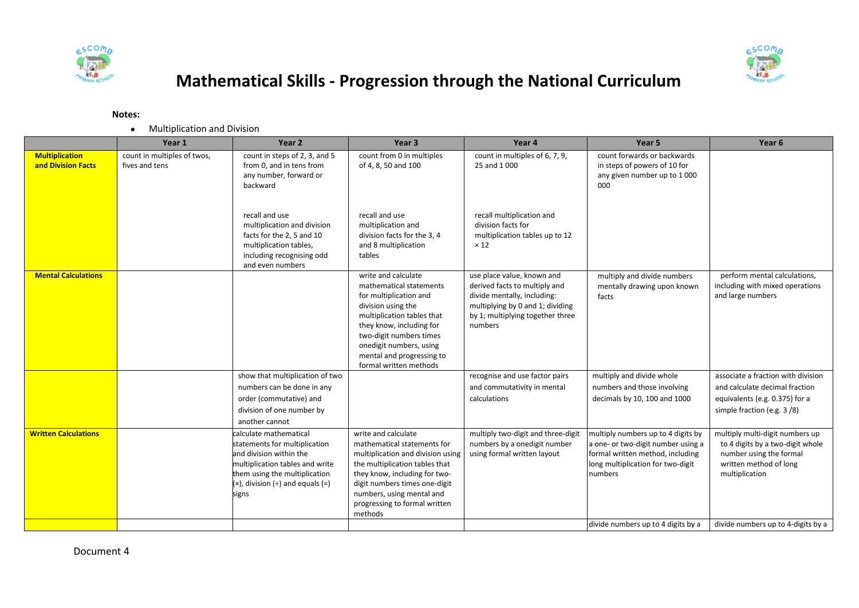



## **Mathematical Skills - Progression through the National Curriculum**

## **Notes:**

Multiplication and Division

|                                             | Year 1                                        | Year <sub>2</sub>                                                                                                                                                                                             | Year 3                                                                                                                                                                                                                                                                | Year 4                                                                                                                                                                        | Year 5                                                                                                                                                       | Year 6                                                                                                                                     |
|---------------------------------------------|-----------------------------------------------|---------------------------------------------------------------------------------------------------------------------------------------------------------------------------------------------------------------|-----------------------------------------------------------------------------------------------------------------------------------------------------------------------------------------------------------------------------------------------------------------------|-------------------------------------------------------------------------------------------------------------------------------------------------------------------------------|--------------------------------------------------------------------------------------------------------------------------------------------------------------|--------------------------------------------------------------------------------------------------------------------------------------------|
| <b>Multiplication</b><br>and Division Facts | count in multiples of twos,<br>fives and tens | count in steps of 2, 3, and 5<br>from 0, and in tens from<br>any number, forward or<br>backward                                                                                                               | count from 0 in multiples<br>of 4, 8, 50 and 100                                                                                                                                                                                                                      | count in multiples of 6, 7, 9,<br>25 and 1 000                                                                                                                                | count forwards or backwards<br>in steps of powers of 10 for<br>any given number up to 1000<br>000                                                            |                                                                                                                                            |
|                                             |                                               | recall and use<br>multiplication and division<br>facts for the 2, 5 and 10<br>multiplication tables,<br>including recognising odd<br>and even numbers                                                         | recall and use<br>multiplication and<br>division facts for the 3, 4<br>and 8 multiplication<br>tables                                                                                                                                                                 | recall multiplication and<br>division facts for<br>multiplication tables up to 12<br>$\times$ 12                                                                              |                                                                                                                                                              |                                                                                                                                            |
| <b>Mental Calculations</b>                  |                                               |                                                                                                                                                                                                               | write and calculate<br>mathematical statements<br>for multiplication and<br>division using the<br>multiplication tables that<br>they know, including for<br>two-digit numbers times<br>onedigit numbers, using<br>mental and progressing to<br>formal written methods | use place value, known and<br>derived facts to multiply and<br>divide mentally, including:<br>multiplying by 0 and 1; dividing<br>by 1; multiplying together three<br>numbers | multiply and divide numbers<br>mentally drawing upon known<br>facts                                                                                          | perform mental calculations,<br>including with mixed operations<br>and large numbers                                                       |
|                                             |                                               | show that multiplication of two<br>numbers can be done in any<br>order (commutative) and<br>division of one number by<br>another cannot                                                                       |                                                                                                                                                                                                                                                                       | recognise and use factor pairs<br>and commutativity in mental<br>calculations                                                                                                 | multiply and divide whole<br>numbers and those involving<br>decimals by 10, 100 and 1000                                                                     | associate a fraction with division<br>and calculate decimal fraction<br>equivalents (e.g. 0.375) for a<br>simple fraction (e.g. 3/8)       |
| <b>Written Calculations</b>                 |                                               | calculate mathematical<br>statements for multiplication<br>and division within the<br>multiplication tables and write<br>them using the multiplication<br>$(x)$ , division $(\div)$ and equals $(=)$<br>signs | write and calculate<br>mathematical statements for<br>multiplication and division using<br>the multiplication tables that<br>they know, including for two-<br>digit numbers times one-digit<br>numbers, using mental and<br>progressing to formal written<br>methods  | multiply two-digit and three-digit<br>numbers by a onedigit number<br>using formal written layout                                                                             | multiply numbers up to 4 digits by<br>a one- or two-digit number using a<br>formal written method, including<br>long multiplication for two-digit<br>numbers | multiply multi-digit numbers up<br>to 4 digits by a two-digit whole<br>number using the formal<br>written method of long<br>multiplication |
|                                             |                                               |                                                                                                                                                                                                               |                                                                                                                                                                                                                                                                       |                                                                                                                                                                               | divide numbers up to 4 digits by a                                                                                                                           | divide numbers up to 4-digits by a                                                                                                         |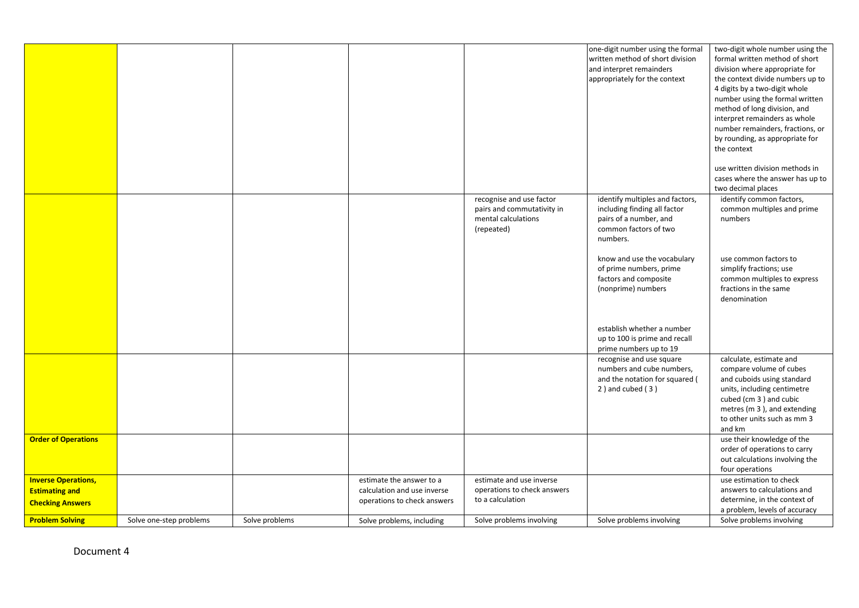|                                                                                |                         |                |                                                                                        |                                                                                             | one-digit number using the formal<br>written method of short division<br>and interpret remainders<br>appropriately for the context | two-digit whole number using the<br>formal written method of short<br>division where appropriate for<br>the context divide numbers up to<br>4 digits by a two-digit whole<br>number using the formal written<br>method of long division, and<br>interpret remainders as whole<br>number remainders, fractions, or<br>by rounding, as appropriate for<br>the context<br>use written division methods in |
|--------------------------------------------------------------------------------|-------------------------|----------------|----------------------------------------------------------------------------------------|---------------------------------------------------------------------------------------------|------------------------------------------------------------------------------------------------------------------------------------|--------------------------------------------------------------------------------------------------------------------------------------------------------------------------------------------------------------------------------------------------------------------------------------------------------------------------------------------------------------------------------------------------------|
|                                                                                |                         |                |                                                                                        |                                                                                             |                                                                                                                                    | cases where the answer has up to<br>two decimal places                                                                                                                                                                                                                                                                                                                                                 |
|                                                                                |                         |                |                                                                                        | recognise and use factor<br>pairs and commutativity in<br>mental calculations<br>(repeated) | identify multiples and factors,<br>including finding all factor<br>pairs of a number, and<br>common factors of two<br>numbers.     | identify common factors,<br>common multiples and prime<br>numbers                                                                                                                                                                                                                                                                                                                                      |
|                                                                                |                         |                |                                                                                        |                                                                                             | know and use the vocabulary<br>of prime numbers, prime<br>factors and composite<br>(nonprime) numbers                              | use common factors to<br>simplify fractions; use<br>common multiples to express<br>fractions in the same<br>denomination                                                                                                                                                                                                                                                                               |
|                                                                                |                         |                |                                                                                        |                                                                                             | establish whether a number<br>up to 100 is prime and recall<br>prime numbers up to 19                                              |                                                                                                                                                                                                                                                                                                                                                                                                        |
|                                                                                |                         |                |                                                                                        |                                                                                             | recognise and use square<br>numbers and cube numbers,<br>and the notation for squared (<br>$2$ ) and cubed $(3)$                   | calculate, estimate and<br>compare volume of cubes<br>and cuboids using standard<br>units, including centimetre<br>cubed (cm 3) and cubic<br>metres (m 3), and extending<br>to other units such as mm 3<br>and km                                                                                                                                                                                      |
| <b>Order of Operations</b>                                                     |                         |                |                                                                                        |                                                                                             |                                                                                                                                    | use their knowledge of the<br>order of operations to carry<br>out calculations involving the<br>four operations                                                                                                                                                                                                                                                                                        |
| <b>Inverse Operations,</b><br><b>Estimating and</b><br><b>Checking Answers</b> |                         |                | estimate the answer to a<br>calculation and use inverse<br>operations to check answers | estimate and use inverse<br>operations to check answers<br>to a calculation                 |                                                                                                                                    | use estimation to check<br>answers to calculations and<br>determine, in the context of<br>a problem, levels of accuracy                                                                                                                                                                                                                                                                                |
| <b>Problem Solving</b>                                                         | Solve one-step problems | Solve problems | Solve problems, including                                                              | Solve problems involving                                                                    | Solve problems involving                                                                                                           | Solve problems involving                                                                                                                                                                                                                                                                                                                                                                               |

Document 4